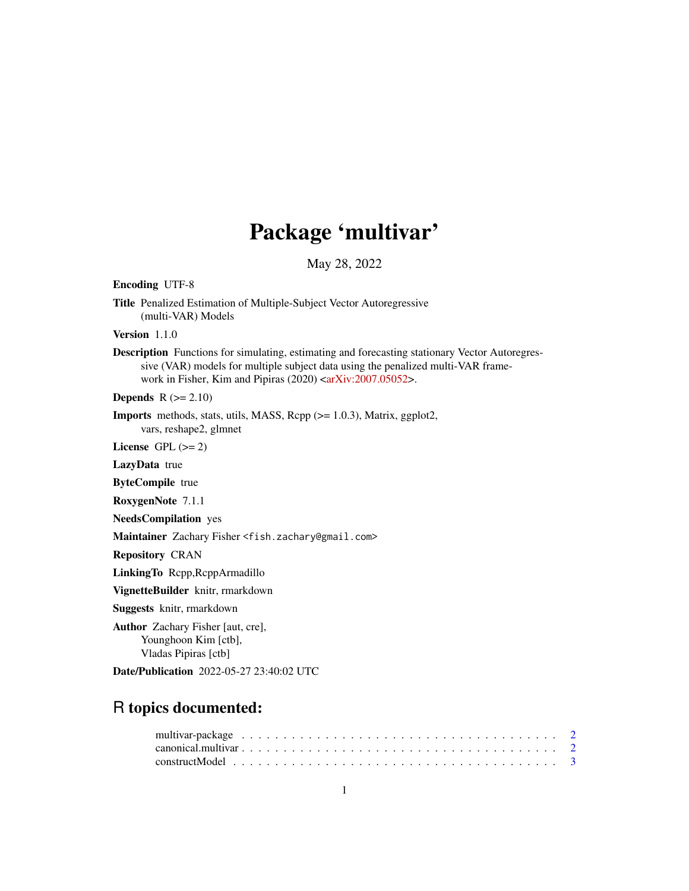# Package 'multivar'

May 28, 2022

Encoding UTF-8 Title Penalized Estimation of Multiple-Subject Vector Autoregressive (multi-VAR) Models Version 1.1.0 Description Functions for simulating, estimating and forecasting stationary Vector Autoregressive (VAR) models for multiple subject data using the penalized multi-VAR frame-work in Fisher, Kim and Pipiras (2020) [<arXiv:2007.05052>](https://arxiv.org/abs/2007.05052). **Depends**  $R (= 2.10)$ Imports methods, stats, utils, MASS, Rcpp (>= 1.0.3), Matrix, ggplot2, vars, reshape2, glmnet License GPL  $(>= 2)$ LazyData true

ByteCompile true

RoxygenNote 7.1.1

NeedsCompilation yes

Maintainer Zachary Fisher <fish.zachary@gmail.com>

Repository CRAN

LinkingTo Rcpp,RcppArmadillo

VignetteBuilder knitr, rmarkdown

Suggests knitr, rmarkdown

Author Zachary Fisher [aut, cre], Younghoon Kim [ctb], Vladas Pipiras [ctb]

Date/Publication 2022-05-27 23:40:02 UTC

## R topics documented: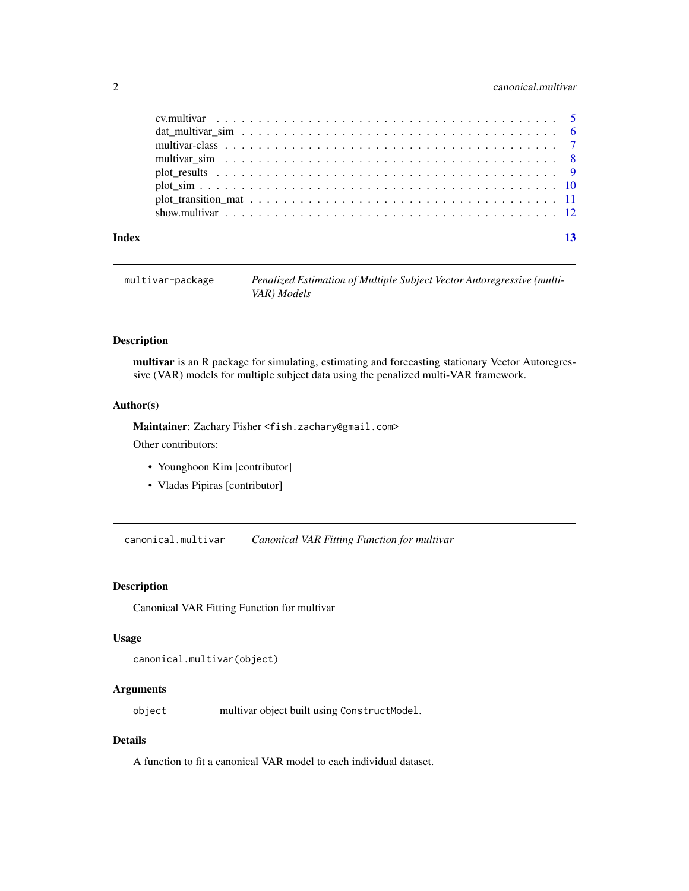#### <span id="page-1-0"></span>2 canonical.multivar

| Index | 13 |
|-------|----|

```
multivar-package Penalized Estimation of Multiple Subject Vector Autoregressive (multi-
                         VAR) Models
```
#### Description

multivar is an R package for simulating, estimating and forecasting stationary Vector Autoregressive (VAR) models for multiple subject data using the penalized multi-VAR framework.

#### Author(s)

Maintainer: Zachary Fisher <fish.zachary@gmail.com> Other contributors:

- Younghoon Kim [contributor]
- Vladas Pipiras [contributor]

canonical.multivar *Canonical VAR Fitting Function for multivar*

#### Description

Canonical VAR Fitting Function for multivar

#### Usage

```
canonical.multivar(object)
```
#### Arguments

object multivar object built using ConstructModel.

#### Details

A function to fit a canonical VAR model to each individual dataset.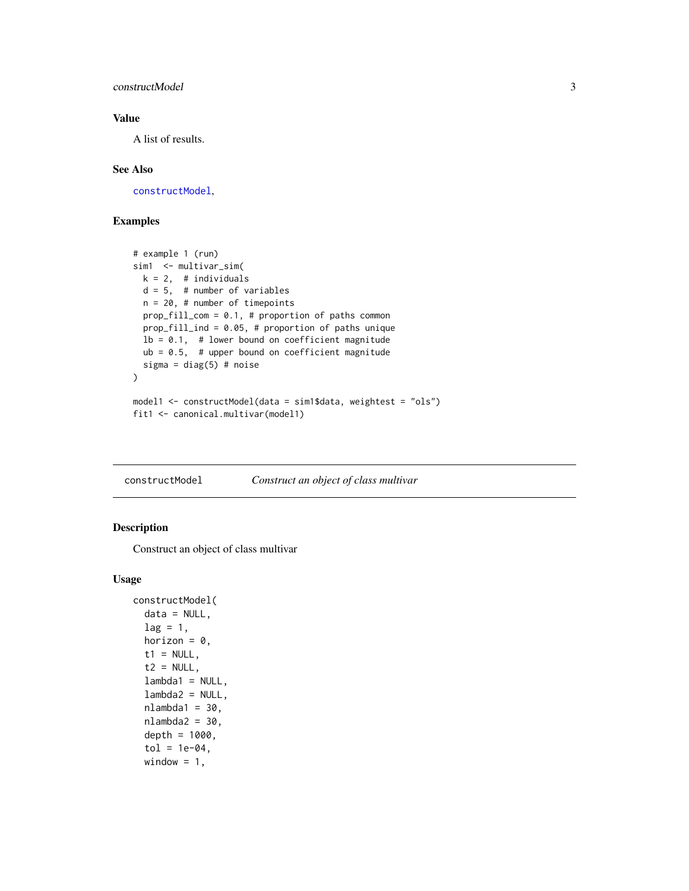#### <span id="page-2-0"></span>constructModel 3

#### Value

A list of results.

#### See Also

[constructModel](#page-2-1),

#### Examples

```
# example 1 (run)
sim1 <- multivar_sim(
  k = 2, # individuals
  d = 5, # number of variables
  n = 20, # number of timepoints
  prop_fill_com = 0.1, # proportion of paths common
  prop_fill_ind = 0.05, # proportion of paths unique
  lb = 0.1, # lower bound on coefficient magnitude
  ub = 0.5, # upper bound on coefficient magnitude
  sigma = diag(5) # noise
)
model1 <- constructModel(data = sim1$data, weightest = "ols")
fit1 <- canonical.multivar(model1)
```
<span id="page-2-1"></span>constructModel *Construct an object of class multivar*

#### Description

Construct an object of class multivar

#### Usage

```
constructModel(
  data = NULL,lag = 1,horizon = 0,
  t1 = NULL,t2 = NULL,lambda1 = NULL,lambda2 = NULL,nlambda1 = 30,
  nlambda2 = 30,
  depth = 1000,tol = 1e-04,window = 1,
```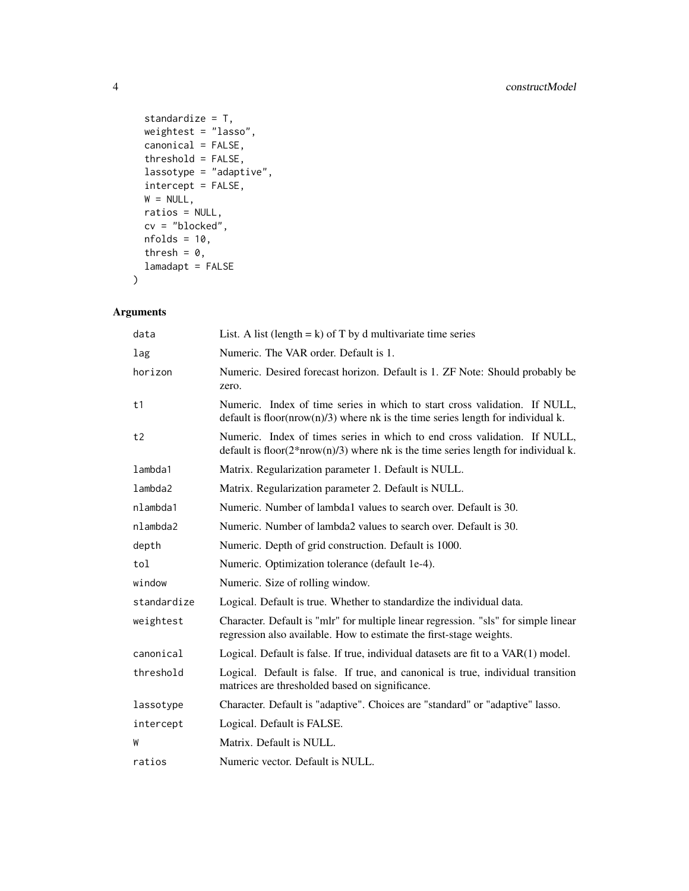```
standardize = T,
 weightest = "lasso",
 canonical = FALSE,
 threshold = FALSE,
 lassotype = "adaptive",
  intercept = FALSE,
 W = NULL,ratios = NULL,
 cv = "blocked",
 nfolds = 10,thresh = 0,
 lamadapt = FALSE
\mathcal{L}
```
#### Arguments

| data        | List. A list (length = $k$ ) of T by d multivariate time series                                                                                                    |
|-------------|--------------------------------------------------------------------------------------------------------------------------------------------------------------------|
| lag         | Numeric. The VAR order. Default is 1.                                                                                                                              |
| horizon     | Numeric. Desired forecast horizon. Default is 1. ZF Note: Should probably be<br>zero.                                                                              |
| t1          | Numeric. Index of time series in which to start cross validation. If NULL,<br>default is floor( $nrow(n)/3$ ) where nk is the time series length for individual k. |
| t2          | Numeric. Index of times series in which to end cross validation. If NULL,<br>default is $floor(2*nrow(n)/3)$ where nk is the time series length for individual k.  |
| lambda1     | Matrix. Regularization parameter 1. Default is NULL.                                                                                                               |
| lambda2     | Matrix. Regularization parameter 2. Default is NULL.                                                                                                               |
| nlambda1    | Numeric. Number of lambda1 values to search over. Default is 30.                                                                                                   |
| nlambda2    | Numeric. Number of lambda2 values to search over. Default is 30.                                                                                                   |
| depth       | Numeric. Depth of grid construction. Default is 1000.                                                                                                              |
| tol         | Numeric. Optimization tolerance (default 1e-4).                                                                                                                    |
| window      | Numeric. Size of rolling window.                                                                                                                                   |
| standardize | Logical. Default is true. Whether to standardize the individual data.                                                                                              |
| weightest   | Character. Default is "mlr" for multiple linear regression. "sls" for simple linear<br>regression also available. How to estimate the first-stage weights.         |
| canonical   | Logical. Default is false. If true, individual datasets are fit to a VAR(1) model.                                                                                 |
| threshold   | Logical. Default is false. If true, and canonical is true, individual transition<br>matrices are thresholded based on significance.                                |
| lassotype   | Character. Default is "adaptive". Choices are "standard" or "adaptive" lasso.                                                                                      |
| intercept   | Logical. Default is FALSE.                                                                                                                                         |
| W           | Matrix. Default is NULL.                                                                                                                                           |
| ratios      | Numeric vector. Default is NULL.                                                                                                                                   |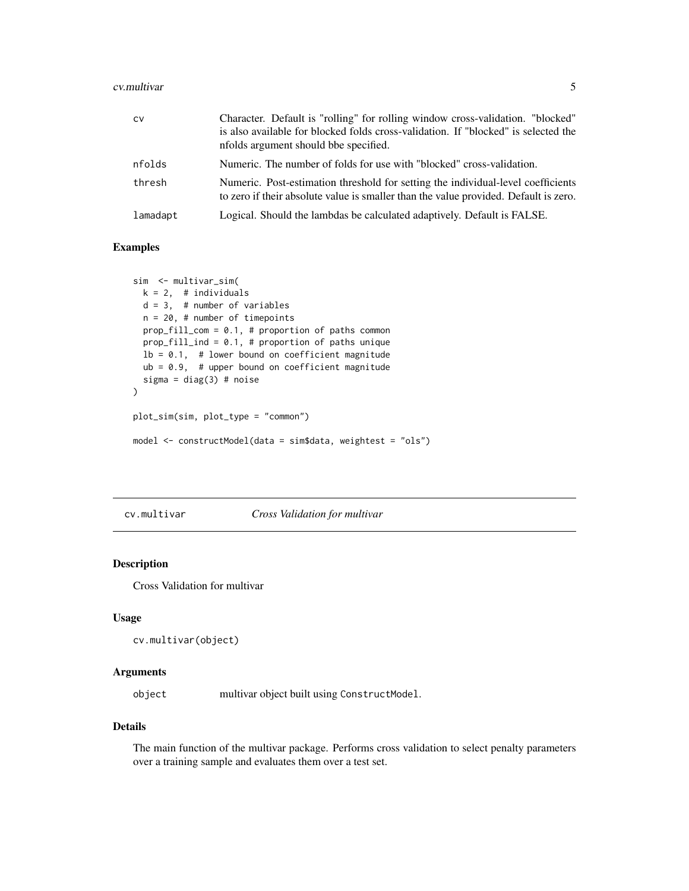#### <span id="page-4-0"></span>cv.multivar 5

| <b>CV</b> | Character. Default is "rolling" for rolling window cross-validation. "blocked"<br>is also available for blocked folds cross-validation. If "blocked" is selected the<br>nfolds argument should bbe specified. |
|-----------|---------------------------------------------------------------------------------------------------------------------------------------------------------------------------------------------------------------|
| nfolds    | Numeric. The number of folds for use with "blocked" cross-validation.                                                                                                                                         |
| thresh    | Numeric. Post-estimation threshold for setting the individual-level coefficients<br>to zero if their absolute value is smaller than the value provided. Default is zero.                                      |
| lamadapt  | Logical. Should the lambdas be calculated adaptively. Default is FALSE.                                                                                                                                       |

#### Examples

```
sim <- multivar_sim(
 k = 2, # individuals
  d = 3, # number of variables
  n = 20, # number of timepoints
  prop_fill_com = 0.1, # proportion of paths common
  prop_fill_ind = 0.1, # proportion of paths unique
  lb = 0.1, # lower bound on coefficient magnitude
  ub = 0.9, # upper bound on coefficient magnitude
  sigma = diag(3) # noise
)
plot_sim(sim, plot_type = "common")
model <- constructModel(data = sim$data, weightest = "ols")
```
cv.multivar *Cross Validation for multivar*

#### Description

Cross Validation for multivar

#### Usage

```
cv.multivar(object)
```
#### Arguments

object multivar object built using ConstructModel.

#### Details

The main function of the multivar package. Performs cross validation to select penalty parameters over a training sample and evaluates them over a test set.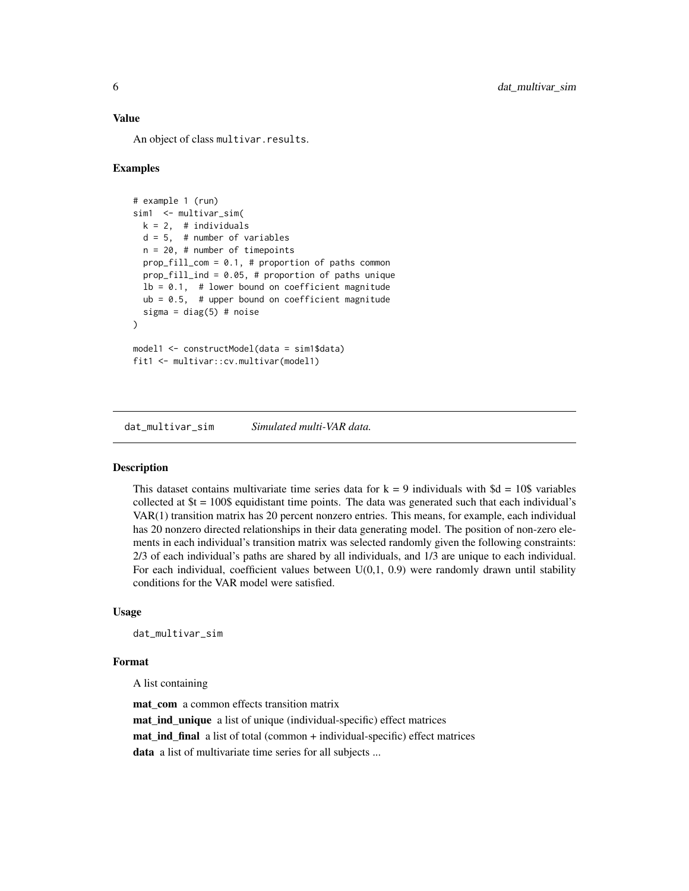#### <span id="page-5-0"></span>Value

An object of class multivar.results.

#### Examples

```
# example 1 (run)
sim1 <- multivar_sim(
 k = 2, # individuals
 d = 5, # number of variables
 n = 20, # number of timepoints
 prop_fill_com = 0.1, # proportion of paths common
 prop_fill_ind = 0.05, # proportion of paths unique
 lb = 0.1, # lower bound on coefficient magnitude
 ub = 0.5, # upper bound on coefficient magnitude
 sigma = diag(5) # noise
\lambdamodel1 <- constructModel(data = sim1$data)
fit1 <- multivar::cv.multivar(model1)
```
dat\_multivar\_sim *Simulated multi-VAR data.*

#### Description

This dataset contains multivariate time series data for  $k = 9$  individuals with  $\delta d = 10\$  variables collected at \$t = 100\$ equidistant time points. The data was generated such that each individual's VAR(1) transition matrix has 20 percent nonzero entries. This means, for example, each individual has 20 nonzero directed relationships in their data generating model. The position of non-zero elements in each individual's transition matrix was selected randomly given the following constraints: 2/3 of each individual's paths are shared by all individuals, and 1/3 are unique to each individual. For each individual, coefficient values between  $U(0,1, 0.9)$  were randomly drawn until stability conditions for the VAR model were satisfied.

#### Usage

```
dat_multivar_sim
```
#### Format

A list containing

mat\_com a common effects transition matrix mat\_ind\_unique a list of unique (individual-specific) effect matrices mat\_ind\_final a list of total (common + individual-specific) effect matrices data a list of multivariate time series for all subjects ...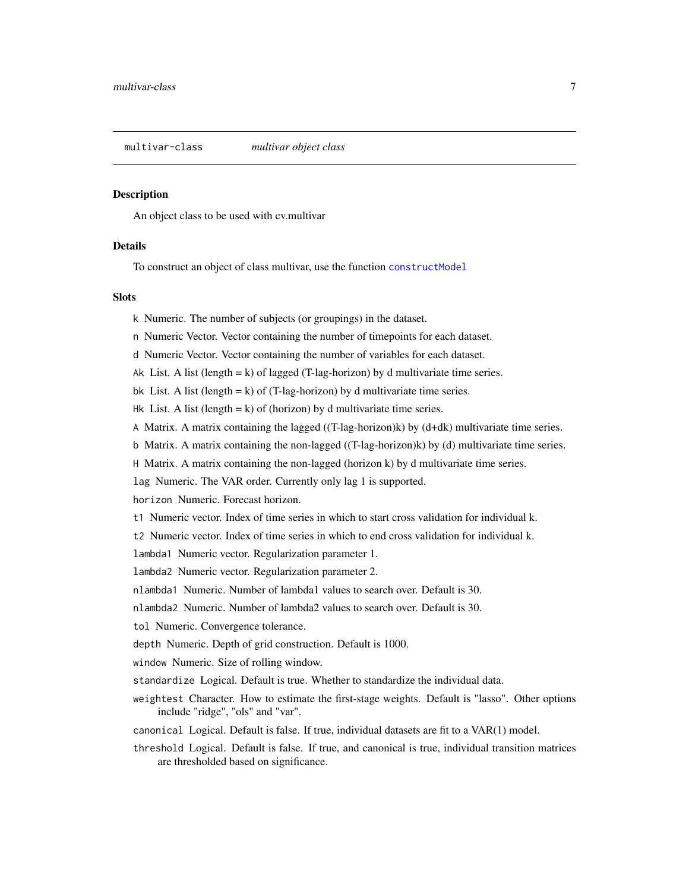<span id="page-6-0"></span>multivar-class *multivar object class*

#### Description

An object class to be used with cv.multivar

#### Details

To construct an object of class multivar, use the function [constructModel](#page-2-1)

#### Slots

k Numeric. The number of subjects (or groupings) in the dataset.

n Numeric Vector. Vector containing the number of timepoints for each dataset.

d Numeric Vector. Vector containing the number of variables for each dataset.

Ak List. A list (length  $= k$ ) of lagged (T-lag-horizon) by d multivariate time series.

bk List. A list (length  $= k$ ) of (T-lag-horizon) by d multivariate time series.

Hk List. A list (length  $= k$ ) of (horizon) by d multivariate time series.

A Matrix. A matrix containing the lagged ((T-lag-horizon)k) by (d+dk) multivariate time series.

b Matrix. A matrix containing the non-lagged ((T-lag-horizon)k) by (d) multivariate time series.

H Matrix. A matrix containing the non-lagged (horizon k) by d multivariate time series.

lag Numeric. The VAR order. Currently only lag 1 is supported.

horizon Numeric. Forecast horizon.

t1 Numeric vector. Index of time series in which to start cross validation for individual k.

t2 Numeric vector. Index of time series in which to end cross validation for individual k.

lambda1 Numeric vector. Regularization parameter 1.

lambda2 Numeric vector. Regularization parameter 2.

nlambda1 Numeric. Number of lambda1 values to search over. Default is 30.

nlambda2 Numeric. Number of lambda2 values to search over. Default is 30.

tol Numeric. Convergence tolerance.

depth Numeric. Depth of grid construction. Default is 1000.

window Numeric. Size of rolling window.

standardize Logical. Default is true. Whether to standardize the individual data.

- weightest Character. How to estimate the first-stage weights. Default is "lasso". Other options include "ridge", "ols" and "var".
- canonical Logical. Default is false. If true, individual datasets are fit to a VAR(1) model.
- threshold Logical. Default is false. If true, and canonical is true, individual transition matrices are thresholded based on significance.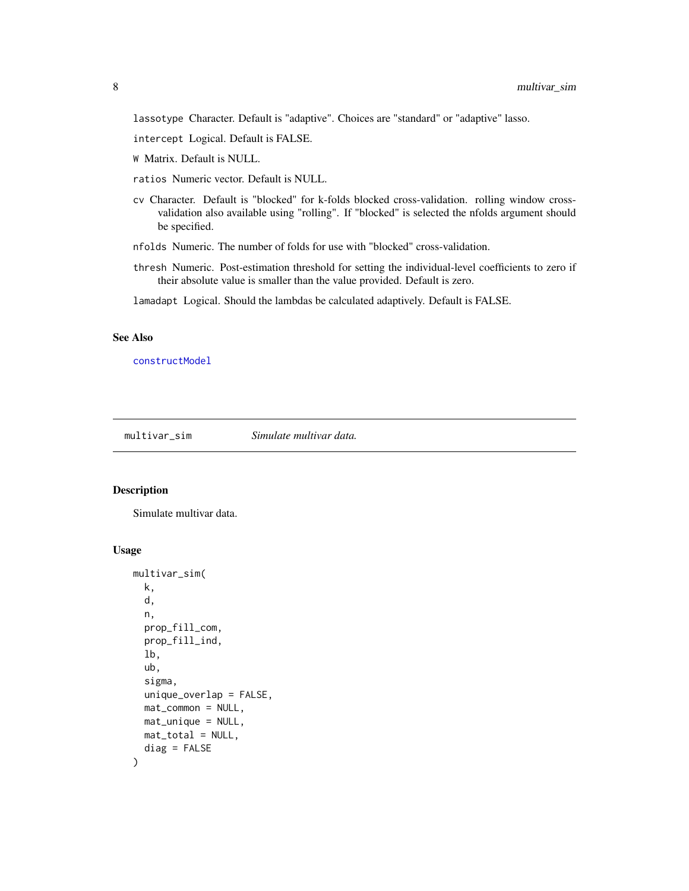<span id="page-7-0"></span>lassotype Character. Default is "adaptive". Choices are "standard" or "adaptive" lasso.

- intercept Logical. Default is FALSE.
- W Matrix. Default is NULL.
- ratios Numeric vector. Default is NULL.
- cv Character. Default is "blocked" for k-folds blocked cross-validation. rolling window crossvalidation also available using "rolling". If "blocked" is selected the nfolds argument should be specified.
- nfolds Numeric. The number of folds for use with "blocked" cross-validation.
- thresh Numeric. Post-estimation threshold for setting the individual-level coefficients to zero if their absolute value is smaller than the value provided. Default is zero.

lamadapt Logical. Should the lambdas be calculated adaptively. Default is FALSE.

#### See Also

[constructModel](#page-2-1)

multivar\_sim *Simulate multivar data.*

#### Description

Simulate multivar data.

#### Usage

```
multivar_sim(
 k,
  d,
  n,
 prop_fill_com,
  prop_fill_ind,
  lb,
  ub,
  sigma,
  unique_overlap = FALSE,
 mat_common = NULL,
 mat_unique = NULL,
 mat_total = NULL,
  diag = FALSE
)
```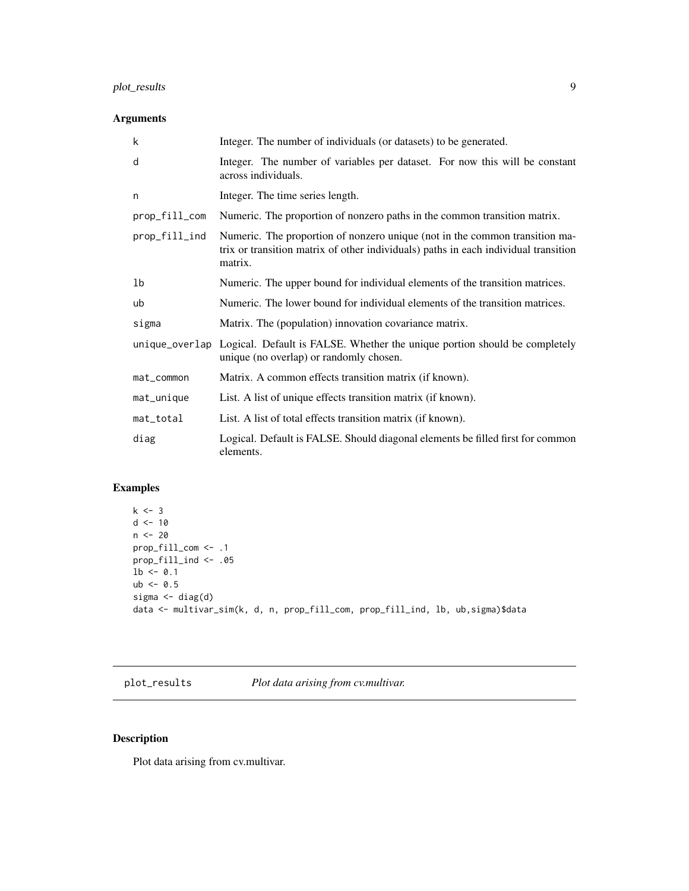#### <span id="page-8-0"></span>plot\_results 9

#### Arguments

| k             | Integer. The number of individuals (or datasets) to be generated.                                                                                                             |
|---------------|-------------------------------------------------------------------------------------------------------------------------------------------------------------------------------|
| d             | Integer. The number of variables per dataset. For now this will be constant<br>across individuals.                                                                            |
| n             | Integer. The time series length.                                                                                                                                              |
| prop_fill_com | Numeric. The proportion of nonzero paths in the common transition matrix.                                                                                                     |
| prop_fill_ind | Numeric. The proportion of nonzero unique (not in the common transition ma-<br>trix or transition matrix of other individuals) paths in each individual transition<br>matrix. |
| 1b            | Numeric. The upper bound for individual elements of the transition matrices.                                                                                                  |
| ub            | Numeric. The lower bound for individual elements of the transition matrices.                                                                                                  |
| sigma         | Matrix. The (population) innovation covariance matrix.                                                                                                                        |
|               | unique_overlap Logical. Default is FALSE. Whether the unique portion should be completely<br>unique (no overlap) or randomly chosen.                                          |
| mat_common    | Matrix. A common effects transition matrix (if known).                                                                                                                        |
| mat_unique    | List. A list of unique effects transition matrix (if known).                                                                                                                  |
| mat_total     | List. A list of total effects transition matrix (if known).                                                                                                                   |
| diag          | Logical. Default is FALSE. Should diagonal elements be filled first for common<br>elements.                                                                                   |

#### Examples

```
k \le -3d < -10n < - 20prop_fill_com <- .1
prop_fill_ind <- .05
1b \le -0.1ub < -0.5sigma \leftarrow diag(d)
data <- multivar_sim(k, d, n, prop_fill_com, prop_fill_ind, lb, ub,sigma)$data
```
plot\_results *Plot data arising from cv.multivar.*

### Description

Plot data arising from cv.multivar.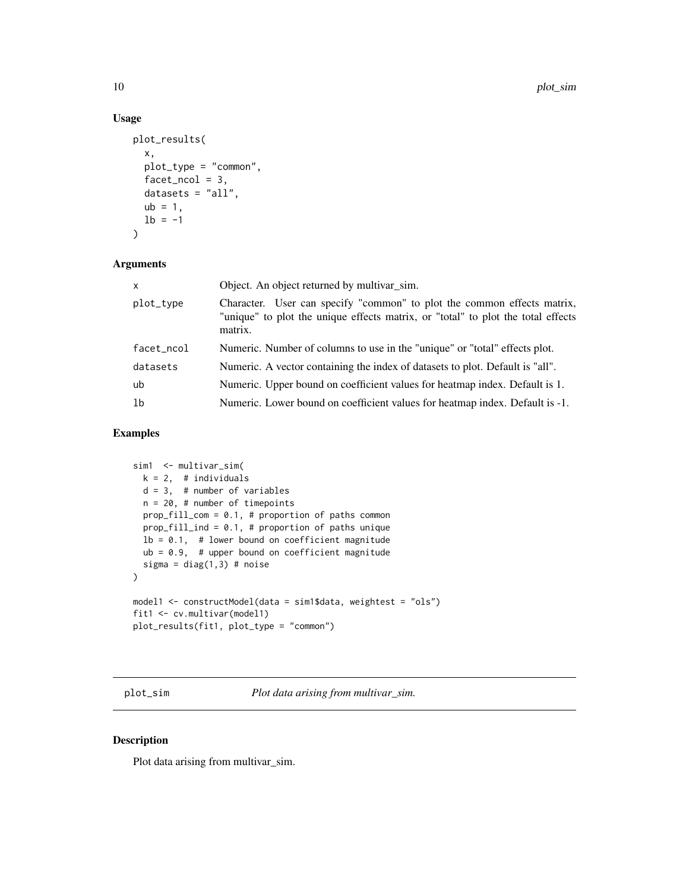#### Usage

```
plot_results(
  x,
  plot_type = "common",
  facet\_ncol = 3,
  datasets = "all",ub = 1,
 1b = -1)
```
#### Arguments

| X              | Object. An object returned by multivar_sim.                                                                                                                            |
|----------------|------------------------------------------------------------------------------------------------------------------------------------------------------------------------|
| plot_type      | Character. User can specify "common" to plot the common effects matrix,<br>"unique" to plot the unique effects matrix, or "total" to plot the total effects<br>matrix. |
| facet_ncol     | Numeric. Number of columns to use in the "unique" or "total" effects plot.                                                                                             |
| datasets       | Numeric. A vector containing the index of datasets to plot. Default is "all".                                                                                          |
| ub             | Numeric. Upper bound on coefficient values for heatmap index. Default is 1.                                                                                            |
| 1 <sub>b</sub> | Numeric. Lower bound on coefficient values for heatmap index. Default is -1.                                                                                           |
|                |                                                                                                                                                                        |

#### Examples

```
sim1 <- multivar_sim(
  k = 2, # individuals
  d = 3, # number of variables
  n = 20, # number of timepoints
  prop_fill_com = 0.1, # proportion of paths common
  prop_fill_ind = 0.1, # proportion of paths unique
  lb = 0.1, # lower bound on coefficient magnitude
  ub = 0.9, # upper bound on coefficient magnitude
  sigma = diag(1,3) # noise
)
model1 <- constructModel(data = sim1$data, weightest = "ols")
fit1 <- cv.multivar(model1)
plot_results(fit1, plot_type = "common")
```
plot\_sim *Plot data arising from multivar\_sim.*

#### Description

Plot data arising from multivar\_sim.

<span id="page-9-0"></span>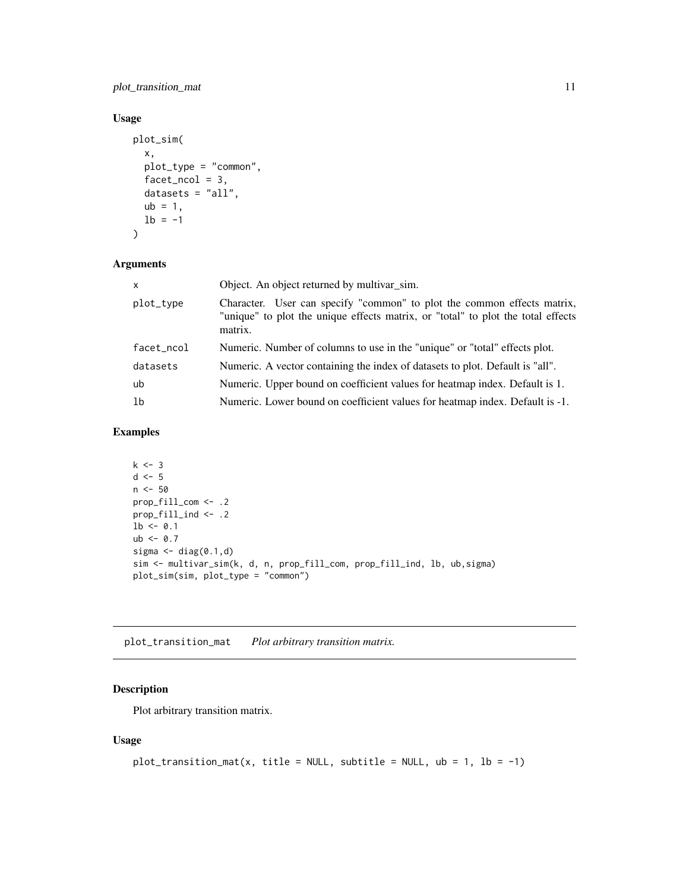<span id="page-10-0"></span>plot\_transition\_mat 11

#### Usage

```
plot_sim(
  x,
  plot_type = "common",
  facet\_ncol = 3,
  datasets = "all",
  ub = 1,
  1b = -1\mathcal{L}
```
#### Arguments

| $\mathsf{x}$ | Object. An object returned by multivar_sim.                                                                                                                            |
|--------------|------------------------------------------------------------------------------------------------------------------------------------------------------------------------|
| plot_type    | Character. User can specify "common" to plot the common effects matrix,<br>"unique" to plot the unique effects matrix, or "total" to plot the total effects<br>matrix. |
| facet_ncol   | Numeric. Number of columns to use in the "unique" or "total" effects plot.                                                                                             |
| datasets     | Numeric. A vector containing the index of datasets to plot. Default is "all".                                                                                          |
| ub           | Numeric. Upper bound on coefficient values for heatmap index. Default is 1.                                                                                            |
| 1b           | Numeric. Lower bound on coefficient values for heatmap index. Default is -1.                                                                                           |

#### Examples

```
k \leq -3d \le -5n <- 50
prop_fill_com <- .2
prop_fill_ind <- .2
1b \le -0.1ub < -0.7sigma \leq diag(0.1,d)sim <- multivar_sim(k, d, n, prop_fill_com, prop_fill_ind, lb, ub,sigma)
plot_sim(sim, plot_type = "common")
```
plot\_transition\_mat *Plot arbitrary transition matrix.*

#### Description

Plot arbitrary transition matrix.

#### Usage

```
plot_transition_mat(x, title = NULL, subtitle = NULL, ub = 1, lb = -1)
```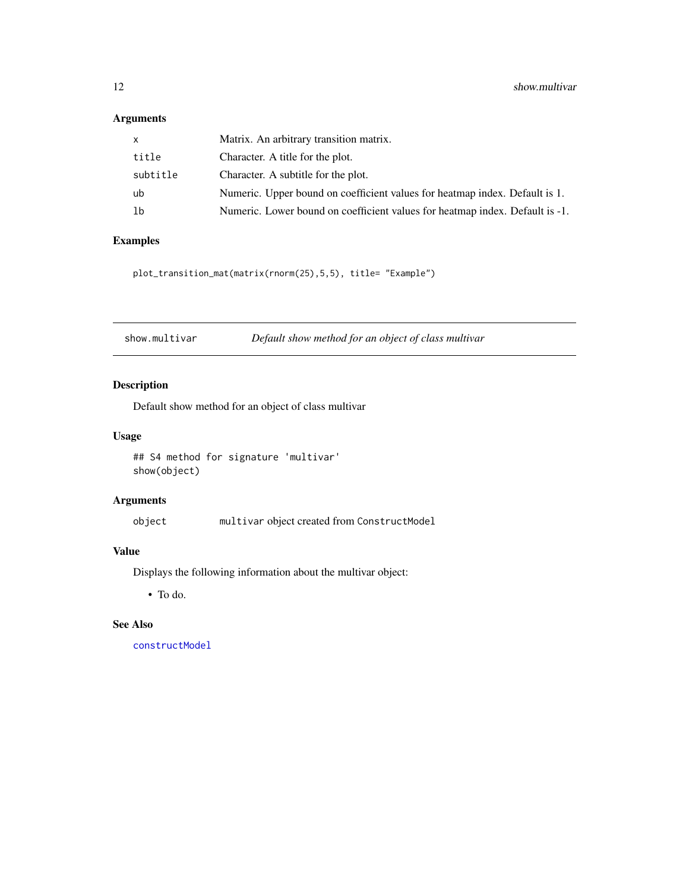#### <span id="page-11-0"></span>Arguments

| $\mathsf{x}$ | Matrix. An arbitrary transition matrix.                                      |
|--------------|------------------------------------------------------------------------------|
| title        | Character. A title for the plot.                                             |
| subtitle     | Character. A subtitle for the plot.                                          |
| ub           | Numeric. Upper bound on coefficient values for heatmap index. Default is 1.  |
| lb           | Numeric. Lower bound on coefficient values for heatmap index. Default is -1. |

#### Examples

plot\_transition\_mat(matrix(rnorm(25),5,5), title= "Example")

| show.multivar | Default show method for an object of class multivar |
|---------------|-----------------------------------------------------|
|---------------|-----------------------------------------------------|

#### Description

Default show method for an object of class multivar

#### Usage

```
## S4 method for signature 'multivar'
show(object)
```
#### Arguments

object multivar object created from ConstructModel

#### Value

Displays the following information about the multivar object:

• To do.

#### See Also

[constructModel](#page-2-1)